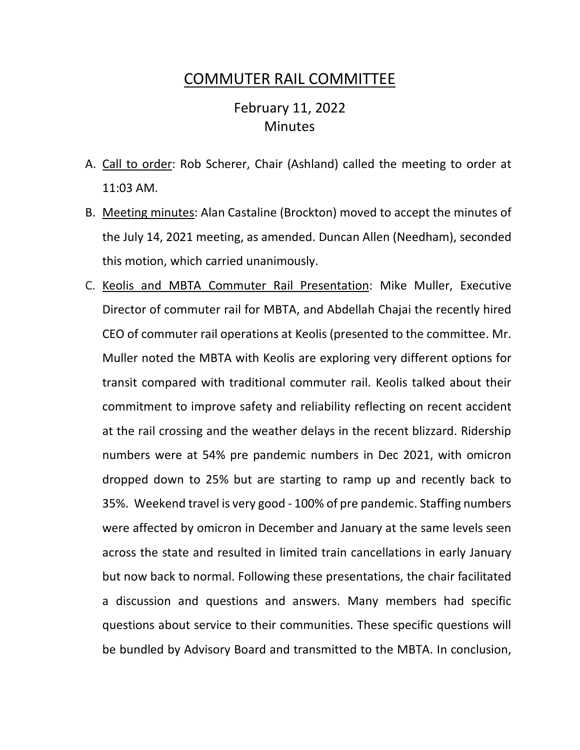## COMMUTER RAIL COMMITTEE

## February 11, 2022 **Minutes**

- A. Call to order: Rob Scherer, Chair (Ashland) called the meeting to order at 11:03 AM.
- B. Meeting minutes: Alan Castaline (Brockton) moved to accept the minutes of the July 14, 2021 meeting, as amended. Duncan Allen (Needham), seconded this motion, which carried unanimously.
- C. Keolis and MBTA Commuter Rail Presentation: Mike Muller, Executive Director of commuter rail for MBTA, and Abdellah Chajai the recently hired CEO of commuter rail operations at Keolis (presented to the committee. Mr. Muller noted the MBTA with Keolis are exploring very different options for transit compared with traditional commuter rail. Keolis talked about their commitment to improve safety and reliability reflecting on recent accident at the rail crossing and the weather delays in the recent blizzard. Ridership numbers were at 54% pre pandemic numbers in Dec 2021, with omicron dropped down to 25% but are starting to ramp up and recently back to 35%. Weekend travel is very good - 100% of pre pandemic. Staffing numbers were affected by omicron in December and January at the same levels seen across the state and resulted in limited train cancellations in early January but now back to normal. Following these presentations, the chair facilitated a discussion and questions and answers. Many members had specific questions about service to their communities. These specific questions will be bundled by Advisory Board and transmitted to the MBTA. In conclusion,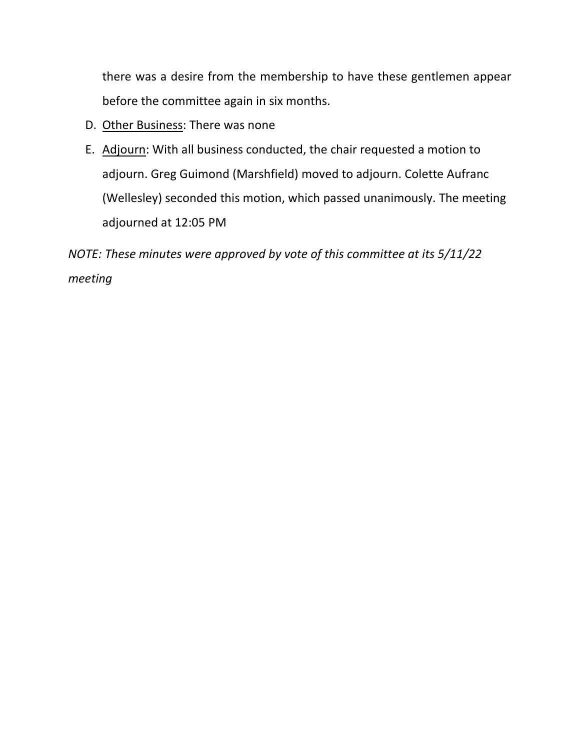there was a desire from the membership to have these gentlemen appear before the committee again in six months.

- D. Other Business: There was none
- E. Adjourn: With all business conducted, the chair requested a motion to adjourn. Greg Guimond (Marshfield) moved to adjourn. Colette Aufranc (Wellesley) seconded this motion, which passed unanimously. The meeting adjourned at 12:05 PM

*NOTE: These minutes were approved by vote of this committee at its 5/11/22 meeting*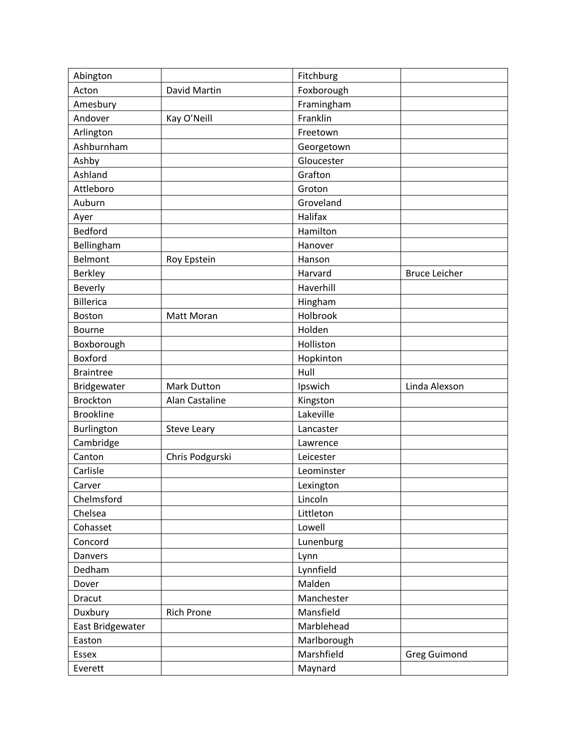| Abington         |                    | Fitchburg   |                      |
|------------------|--------------------|-------------|----------------------|
| Acton            | David Martin       | Foxborough  |                      |
| Amesbury         |                    | Framingham  |                      |
| Andover          | Kay O'Neill        | Franklin    |                      |
| Arlington        |                    | Freetown    |                      |
| Ashburnham       |                    | Georgetown  |                      |
| Ashby            |                    | Gloucester  |                      |
| Ashland          |                    | Grafton     |                      |
| Attleboro        |                    | Groton      |                      |
| Auburn           |                    | Groveland   |                      |
| Ayer             |                    | Halifax     |                      |
| <b>Bedford</b>   |                    | Hamilton    |                      |
| Bellingham       |                    | Hanover     |                      |
| <b>Belmont</b>   | Roy Epstein        | Hanson      |                      |
| <b>Berkley</b>   |                    | Harvard     | <b>Bruce Leicher</b> |
| Beverly          |                    | Haverhill   |                      |
| <b>Billerica</b> |                    | Hingham     |                      |
| Boston           | Matt Moran         | Holbrook    |                      |
| <b>Bourne</b>    |                    | Holden      |                      |
| Boxborough       |                    | Holliston   |                      |
| Boxford          |                    | Hopkinton   |                      |
| <b>Braintree</b> |                    | Hull        |                      |
| Bridgewater      | <b>Mark Dutton</b> | Ipswich     | Linda Alexson        |
| <b>Brockton</b>  | Alan Castaline     | Kingston    |                      |
| <b>Brookline</b> |                    | Lakeville   |                      |
| Burlington       | Steve Leary        | Lancaster   |                      |
| Cambridge        |                    | Lawrence    |                      |
| Canton           | Chris Podgurski    | Leicester   |                      |
| Carlisle         |                    | Leominster  |                      |
| Carver           |                    | Lexington   |                      |
| Chelmsford       |                    | Lincoln     |                      |
| Chelsea          |                    | Littleton   |                      |
| Cohasset         |                    | Lowell      |                      |
| Concord          |                    | Lunenburg   |                      |
| Danvers          |                    | Lynn        |                      |
| Dedham           |                    | Lynnfield   |                      |
| Dover            |                    | Malden      |                      |
| Dracut           |                    | Manchester  |                      |
| Duxbury          | <b>Rich Prone</b>  | Mansfield   |                      |
| East Bridgewater |                    | Marblehead  |                      |
| Easton           |                    | Marlborough |                      |
| Essex            |                    | Marshfield  | <b>Greg Guimond</b>  |
| Everett          |                    | Maynard     |                      |
|                  |                    |             |                      |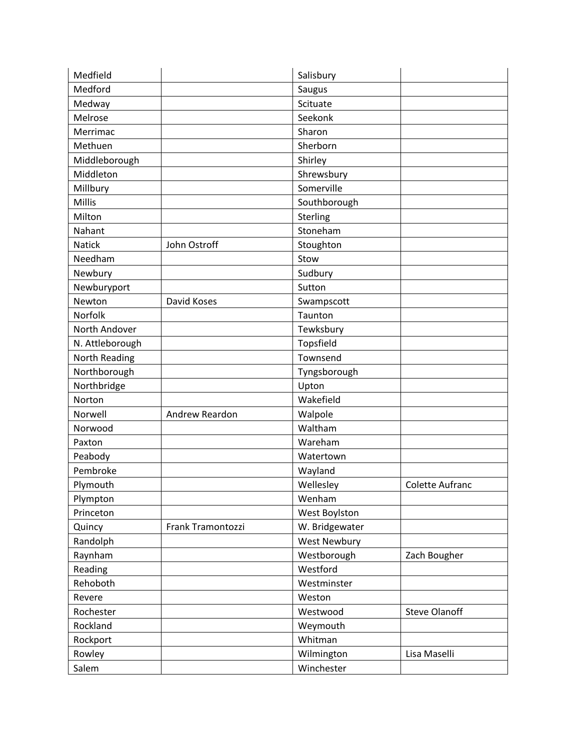| Medfield        |                   | Salisbury           |                      |
|-----------------|-------------------|---------------------|----------------------|
| Medford         |                   | Saugus              |                      |
| Medway          |                   | Scituate            |                      |
| Melrose         |                   | Seekonk             |                      |
| Merrimac        |                   | Sharon              |                      |
| Methuen         |                   | Sherborn            |                      |
| Middleborough   |                   | Shirley             |                      |
| Middleton       |                   | Shrewsbury          |                      |
| Millbury        |                   | Somerville          |                      |
| <b>Millis</b>   |                   | Southborough        |                      |
| Milton          |                   | Sterling            |                      |
| Nahant          |                   | Stoneham            |                      |
| <b>Natick</b>   | John Ostroff      | Stoughton           |                      |
| Needham         |                   | Stow                |                      |
| Newbury         |                   | Sudbury             |                      |
| Newburyport     |                   | Sutton              |                      |
| Newton          | David Koses       | Swampscott          |                      |
| Norfolk         |                   | Taunton             |                      |
| North Andover   |                   | Tewksbury           |                      |
| N. Attleborough |                   | Topsfield           |                      |
| North Reading   |                   | Townsend            |                      |
| Northborough    |                   | Tyngsborough        |                      |
| Northbridge     |                   | Upton               |                      |
| Norton          |                   | Wakefield           |                      |
| Norwell         | Andrew Reardon    | Walpole             |                      |
| Norwood         |                   | Waltham             |                      |
| Paxton          |                   | Wareham             |                      |
| Peabody         |                   | Watertown           |                      |
| Pembroke        |                   | Wayland             |                      |
| Plymouth        |                   | Wellesley           | Colette Aufranc      |
| Plympton        |                   | Wenham              |                      |
| Princeton       |                   | West Boylston       |                      |
| Quincy          | Frank Tramontozzi | W. Bridgewater      |                      |
| Randolph        |                   | <b>West Newbury</b> |                      |
| Raynham         |                   | Westborough         | Zach Bougher         |
| Reading         |                   | Westford            |                      |
| Rehoboth        |                   | Westminster         |                      |
| Revere          |                   | Weston              |                      |
| Rochester       |                   | Westwood            | <b>Steve Olanoff</b> |
| Rockland        |                   | Weymouth            |                      |
| Rockport        |                   | Whitman             |                      |
| Rowley          |                   | Wilmington          | Lisa Maselli         |
| Salem           |                   | Winchester          |                      |